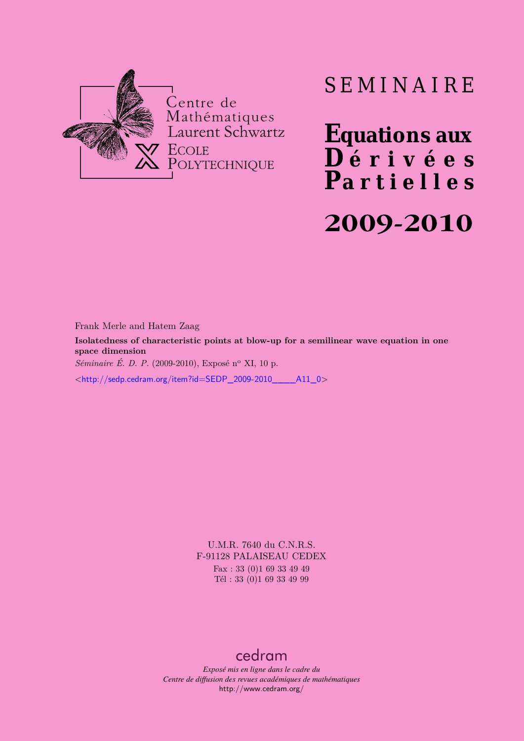

# SEMINAIRE

**Equations aux**  $\overline{\mathbf{D}}$  érivées **Partielles 2009-2010**

Frank Merle and Hatem Zaag

**Isolatedness of characteristic points at blow-up for a semilinear wave equation in one space dimension**

*Séminaire É. D. P.* (2009-2010), Exposé n<sup>o</sup> XI, 10 p.

<[http://sedp.cedram.org/item?id=SEDP\\_2009-2010\\_\\_\\_\\_A11\\_0](http://sedp.cedram.org/item?id=SEDP_2009-2010____A11_0)>

U.M.R. 7640 du C.N.R.S. F-91128 PALAISEAU CEDEX Fax : 33 (0)1 69 33 49 49

Tél : 33 (0)1 69 33 49 99

## [cedram](http://www.cedram.org/)

*Exposé mis en ligne dans le cadre du Centre de diffusion des revues académiques de mathématiques* <http://www.cedram.org/>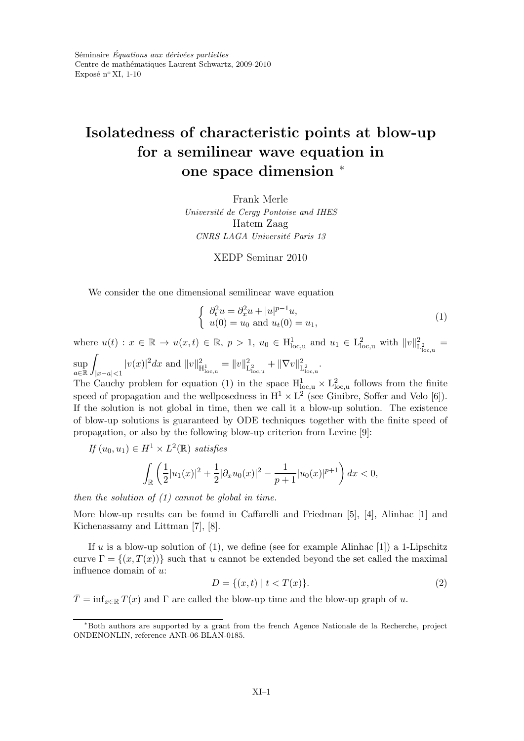## Isolatedness of characteristic points at blow-up for a semilinear wave equation in one space dimension <sup>∗</sup>

Frank Merle Université de Cergy Pontoise and IHES Hatem Zaag CNRS LAGA Université Paris 13

XEDP Seminar 2010

We consider the one dimensional semilinear wave equation

$$
\begin{cases}\n\partial_t^2 u = \partial_x^2 u + |u|^{p-1} u, \\
u(0) = u_0 \text{ and } u_t(0) = u_1,\n\end{cases}
$$
\n(1)

where  $u(t) : x \in \mathbb{R} \to u(x,t) \in \mathbb{R}, p > 1, u_0 \in H_{loc,u}^1$  and  $u_1 \in L_{loc,u}^2$  with  $||v||_1^2$  $\frac{2}{L^2_{\text{loc},u}} =$ sup Z  $|v(x)|^2 dx$  and  $||v||^2_{\text{H}^1_{\text{loc},u}} = ||v||^2_{\text{L}}$  $\frac{2}{L^2_{\text{loc},u}} + ||\nabla v||^2_{\text{L}}$  $\overset{2}{\mathrm{L}}_{\mathrm{loc},\mathrm{u}}^2$  .

a∈R |x−a|<1 The Cauchy problem for equation (1) in the space  $H_{loc,u}^1 \times L_{loc,u}^2$  follows from the finite speed of propagation and the wellposedness in  $H^1 \times L^2$  (see Ginibre, Soffer and Velo [6]). If the solution is not global in time, then we call it a blow-up solution. The existence of blow-up solutions is guaranteed by ODE techniques together with the finite speed of propagation, or also by the following blow-up criterion from Levine [9]:

$$
If (u_0, u_1) \in H^1 \times L^2(\mathbb{R}) \ satisfies
$$

$$
\int_{\mathbb{R}} \left( \frac{1}{2} |u_1(x)|^2 + \frac{1}{2} |\partial_x u_0(x)|^2 - \frac{1}{p+1} |u_0(x)|^{p+1} \right) dx < 0,
$$

then the solution of  $(1)$  cannot be global in time.

More blow-up results can be found in Caffarelli and Friedman [5], [4], Alinhac [1] and Kichenassamy and Littman [7], [8].

If u is a blow-up solution of (1), we define (see for example Alinhac [1]) a 1-Lipschitz curve  $\Gamma = \{(x, T(x))\}$  such that u cannot be extended beyond the set called the maximal influence domain of u:

$$
D = \{(x, t) \mid t < T(x)\}.\tag{2}
$$

 $\overline{T}$  = inf<sub>x∈R</sub>  $T(x)$  and  $\Gamma$  are called the blow-up time and the blow-up graph of u.

<sup>∗</sup>Both authors are supported by a grant from the french Agence Nationale de la Recherche, project ONDENONLIN, reference ANR-06-BLAN-0185.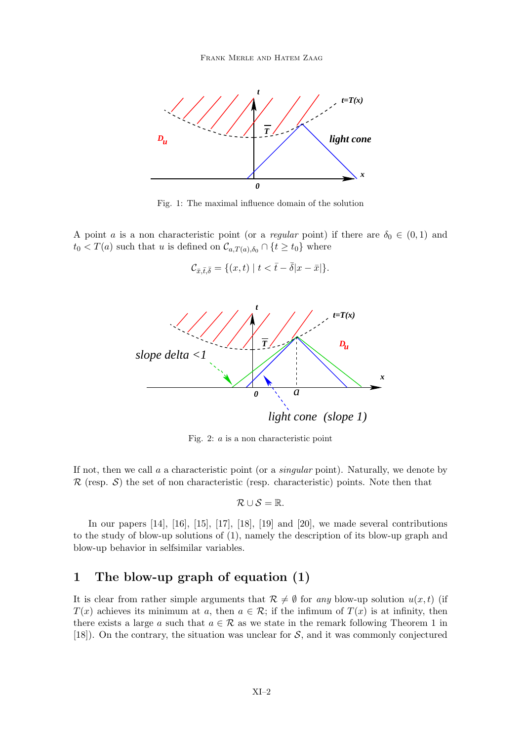

Fig. 1: The maximal influence domain of the solution

A point a is a non characteristic point (or a *regular* point) if there are  $\delta_0 \in (0,1)$  and  $t_0 < T(a)$  such that u is defined on  $\mathcal{C}_{a,T(a),\delta_0} \cap \{t \geq t_0\}$  where

$$
\mathcal{C}_{\bar{x},\bar{t},\bar{\delta}} = \{ (x,t) \mid t < \bar{t} - \bar{\delta} | x - \bar{x} | \}.
$$



Fig. 2: a is a non characteristic point

If not, then we call a a characteristic point (or a *singular* point). Naturally, we denote by  $\mathcal R$  (resp.  $\mathcal S$ ) the set of non characteristic (resp. characteristic) points. Note then that

$$
\mathcal{R}\cup\mathcal{S}=\mathbb{R}.
$$

In our papers [14], [16], [15], [17], [18], [19] and [20], we made several contributions to the study of blow-up solutions of (1), namely the description of its blow-up graph and blow-up behavior in selfsimilar variables.

## 1 The blow-up graph of equation (1)

It is clear from rather simple arguments that  $\mathcal{R} \neq \emptyset$  for any blow-up solution  $u(x, t)$  (if  $T(x)$  achieves its minimum at a, then  $a \in \mathcal{R}$ ; if the infimum of  $T(x)$  is at infinity, then there exists a large a such that  $a \in \mathcal{R}$  as we state in the remark following Theorem 1 in [18]). On the contrary, the situation was unclear for  $S$ , and it was commonly conjectured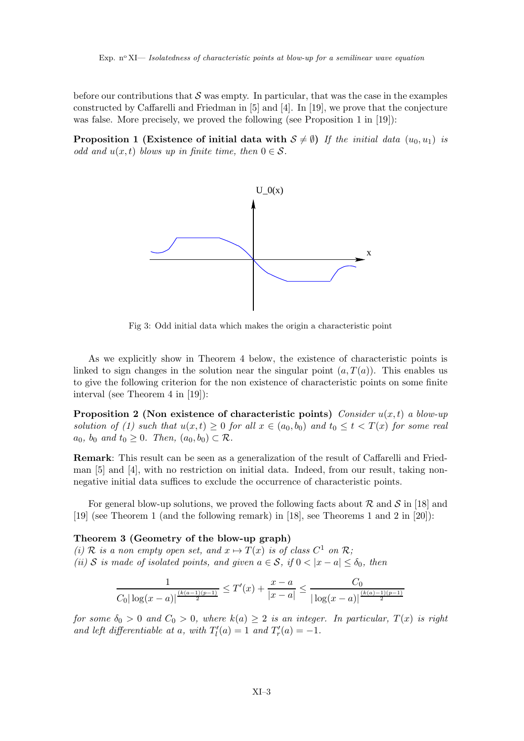before our contributions that  $\mathcal S$  was empty. In particular, that was the case in the examples constructed by Caffarelli and Friedman in [5] and [4]. In [19], we prove that the conjecture was false. More precisely, we proved the following (see Proposition 1 in [19]):

**Proposition 1 (Existence of initial data with**  $S \neq \emptyset$ ) If the initial data  $(u_0, u_1)$  is odd and  $u(x, t)$  blows up in finite time, then  $0 \in \mathcal{S}$ .



Fig 3: Odd initial data which makes the origin a characteristic point

As we explicitly show in Theorem 4 below, the existence of characteristic points is linked to sign changes in the solution near the singular point  $(a, T(a))$ . This enables us to give the following criterion for the non existence of characteristic points on some finite interval (see Theorem 4 in [19]):

**Proposition 2** (Non existence of characteristic points) Consider  $u(x, t)$  a blow-up solution of (1) such that  $u(x,t) \geq 0$  for all  $x \in (a_0, b_0)$  and  $t_0 \leq t < T(x)$  for some real  $a_0$ ,  $b_0$  and  $t_0 \geq 0$ . Then,  $(a_0, b_0) \subset \mathcal{R}$ .

Remark: This result can be seen as a generalization of the result of Caffarelli and Friedman [5] and [4], with no restriction on initial data. Indeed, from our result, taking nonnegative initial data suffices to exclude the occurrence of characteristic points.

For general blow-up solutions, we proved the following facts about  $R$  and  $S$  in [18] and [19] (see Theorem 1 (and the following remark) in [18], see Theorems 1 and 2 in [20]):

#### Theorem 3 (Geometry of the blow-up graph)

(i) R is a non empty open set, and  $x \mapsto T(x)$  is of class  $C^1$  on R; (ii) S is made of isolated points, and given  $a \in S$ , if  $0 < |x - a| \leq \delta_0$ , then

$$
\frac{1}{C_0|\log(x-a)|^{\frac{(k(a-1)(p-1)}{2}}} \leq T'(x) + \frac{x-a}{|x-a|} \leq \frac{C_0}{|\log(x-a)|^{\frac{(k(a)-1)(p-1)}{2}}}
$$

for some  $\delta_0 > 0$  and  $C_0 > 0$ , where  $k(a) \geq 2$  is an integer. In particular,  $T(x)$  is right and left differentiable at a, with  $T'_{l}(a) = 1$  and  $T'_{r}(a) = -1$ .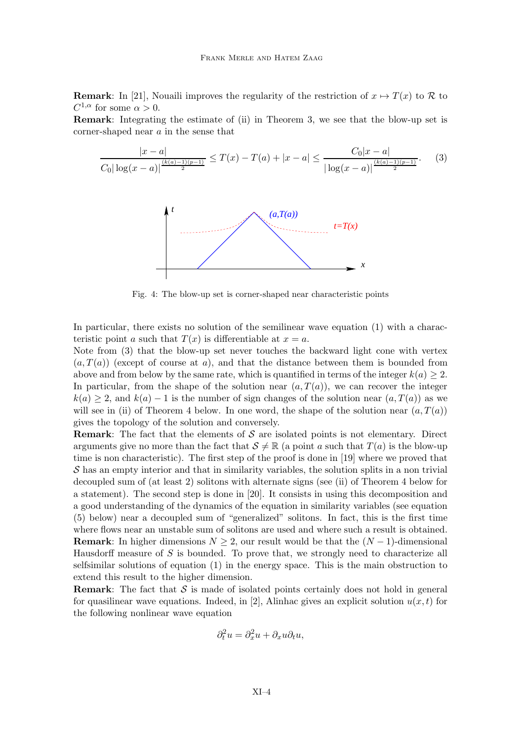**Remark**: In [21], Nouaili improves the regularity of the restriction of  $x \mapsto T(x)$  to R to  $C^{1,\alpha}$  for some  $\alpha > 0$ .

Remark: Integrating the estimate of (ii) in Theorem 3, we see that the blow-up set is corner-shaped near a in the sense that

$$
\frac{|x-a|}{C_0|\log(x-a)|^{\frac{(k(a)-1)(p-1)}{2}}} \leq T(x) - T(a) + |x-a| \leq \frac{C_0|x-a|}{|\log(x-a)|^{\frac{(k(a)-1)(p-1)}{2}}}.\tag{3}
$$



Fig. 4: The blow-up set is corner-shaped near characteristic points

In particular, there exists no solution of the semilinear wave equation (1) with a characteristic point a such that  $T(x)$  is differentiable at  $x = a$ .

Note from (3) that the blow-up set never touches the backward light cone with vertex  $(a, T(a))$  (except of course at a), and that the distance between them is bounded from above and from below by the same rate, which is quantified in terms of the integer  $k(a) \geq 2$ . In particular, from the shape of the solution near  $(a, T(a))$ , we can recover the integer  $k(a) \geq 2$ , and  $k(a) - 1$  is the number of sign changes of the solution near  $(a, T(a))$  as we will see in (ii) of Theorem 4 below. In one word, the shape of the solution near  $(a, T(a))$ gives the topology of the solution and conversely.

**Remark:** The fact that the elements of  $S$  are isolated points is not elementary. Direct arguments give no more than the fact that  $S \neq \mathbb{R}$  (a point a such that  $T(a)$  is the blow-up time is non characteristic). The first step of the proof is done in [19] where we proved that  $\mathcal S$  has an empty interior and that in similarity variables, the solution splits in a non trivial decoupled sum of (at least 2) solitons with alternate signs (see (ii) of Theorem 4 below for a statement). The second step is done in [20]. It consists in using this decomposition and a good understanding of the dynamics of the equation in similarity variables (see equation (5) below) near a decoupled sum of "generalized" solitons. In fact, this is the first time where flows near an unstable sum of solitons are used and where such a result is obtained. **Remark:** In higher dimensions  $N \geq 2$ , our result would be that the  $(N-1)$ -dimensional Hausdorff measure of S is bounded. To prove that, we strongly need to characterize all selfsimilar solutions of equation (1) in the energy space. This is the main obstruction to extend this result to the higher dimension.

**Remark:** The fact that  $S$  is made of isolated points certainly does not hold in general for quasilinear wave equations. Indeed, in [2], Alinhac gives an explicit solution  $u(x, t)$  for the following nonlinear wave equation

$$
\partial_t^2 u = \partial_x^2 u + \partial_x u \partial_t u,
$$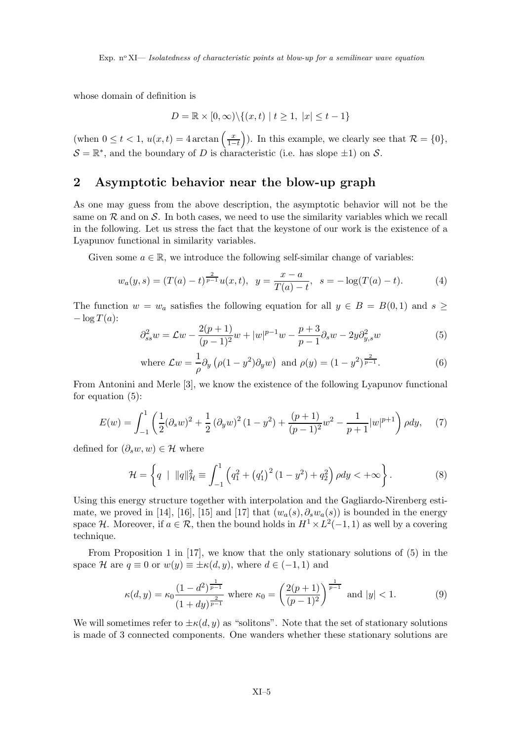whose domain of definition is

$$
D = \mathbb{R} \times [0, \infty) \setminus \{(x, t) \mid t \ge 1, \ |x| \le t - 1\}
$$

(when  $0 \le t < 1$ ,  $u(x, t) = 4 \arctan \left( \frac{x}{1-t} \right)$  $1-t$ ). In this example, we clearly see that  $\mathcal{R} = \{0\},\$  $S = \mathbb{R}^*$ , and the boundary of D is characteristic (i.e. has slope  $\pm 1$ ) on S.

#### 2 Asymptotic behavior near the blow-up graph

As one may guess from the above description, the asymptotic behavior will not be the same on  $\mathcal R$  and on  $\mathcal S$ . In both cases, we need to use the similarity variables which we recall in the following. Let us stress the fact that the keystone of our work is the existence of a Lyapunov functional in similarity variables.

Given some  $a \in \mathbb{R}$ , we introduce the following self-similar change of variables:

$$
w_a(y,s) = (T(a) - t)^{\frac{2}{p-1}} u(x,t), \ \ y = \frac{x-a}{T(a) - t}, \ \ s = -\log(T(a) - t). \tag{4}
$$

The function  $w = w_a$  satisfies the following equation for all  $y \in B = B(0,1)$  and  $s \geq$  $-\log T(a)$ :

$$
\partial_{ss}^{2}w = \mathcal{L}w - \frac{2(p+1)}{(p-1)^{2}}w + |w|^{p-1}w - \frac{p+3}{p-1}\partial_{s}w - 2y\partial_{y,s}^{2}w \tag{5}
$$

where 
$$
\mathcal{L}w = \frac{1}{\rho}\partial_y \left(\rho(1 - y^2)\partial_y w\right)
$$
 and  $\rho(y) = (1 - y^2)^{\frac{2}{p-1}}$ . (6)

From Antonini and Merle [3], we know the existence of the following Lyapunov functional for equation (5):

$$
E(w) = \int_{-1}^{1} \left( \frac{1}{2} (\partial_s w)^2 + \frac{1}{2} (\partial_y w)^2 (1 - y^2) + \frac{(p+1)}{(p-1)^2} w^2 - \frac{1}{p+1} |w|^{p+1} \right) \rho dy, \tag{7}
$$

defined for  $(\partial_s w, w) \in \mathcal{H}$  where

$$
\mathcal{H} = \left\{ q \mid ||q||_{\mathcal{H}}^{2} \equiv \int_{-1}^{1} \left( q_{1}^{2} + \left( q_{1}' \right)^{2} (1 - y^{2}) + q_{2}^{2} \right) \rho dy < +\infty \right\}.
$$
 (8)

Using this energy structure together with interpolation and the Gagliardo-Nirenberg estimate, we proved in [14], [16], [15] and [17] that  $(w_a(s), \partial_s w_a(s))$  is bounded in the energy space H. Moreover, if  $a \in \mathcal{R}$ , then the bound holds in  $H^1 \times L^2(-1,1)$  as well by a covering technique.

From Proposition 1 in [17], we know that the only stationary solutions of (5) in the space H are  $q \equiv 0$  or  $w(y) \equiv \pm \kappa(d, y)$ , where  $d \in (-1, 1)$  and

$$
\kappa(d,y) = \kappa_0 \frac{(1-d^2)^{\frac{1}{p-1}}}{(1+dy)^{\frac{2}{p-1}}} \text{ where } \kappa_0 = \left(\frac{2(p+1)}{(p-1)^2}\right)^{\frac{1}{p-1}} \text{ and } |y| < 1. \tag{9}
$$

We will sometimes refer to  $\pm \kappa(d, y)$  as "solitons". Note that the set of stationary solutions is made of 3 connected components. One wanders whether these stationary solutions are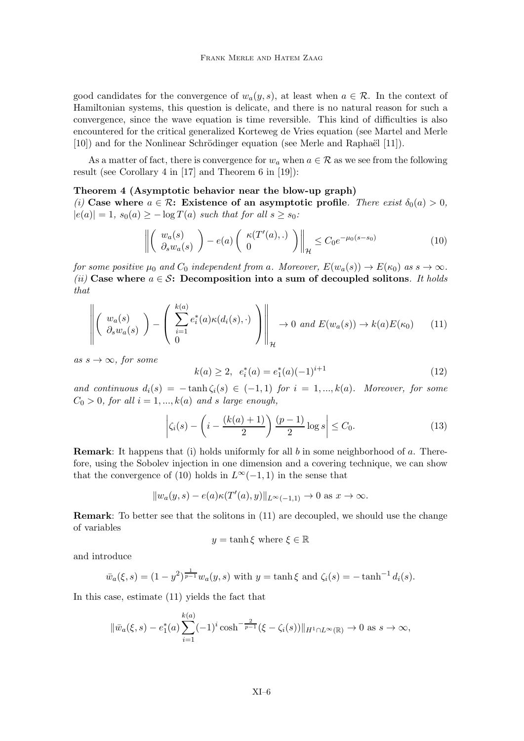good candidates for the convergence of  $w_a(y, s)$ , at least when  $a \in \mathcal{R}$ . In the context of Hamiltonian systems, this question is delicate, and there is no natural reason for such a convergence, since the wave equation is time reversible. This kind of difficulties is also encountered for the critical generalized Korteweg de Vries equation (see Martel and Merle [10]) and for the Nonlinear Schrödinger equation (see Merle and Raphaël [11]).

As a matter of fact, there is convergence for  $w_a$  when  $a \in \mathcal{R}$  as we see from the following result (see Corollary 4 in [17] and Theorem 6 in [19]):

#### Theorem 4 (Asymptotic behavior near the blow-up graph)

(i) Case where  $a \in \mathcal{R}$ : Existence of an asymptotic profile. There exist  $\delta_0(a) > 0$ ,  $|e(a)| = 1$ ,  $s_0(a) \ge -\log T(a)$  such that for all  $s \ge s_0$ :

$$
\left\| \left( \begin{array}{c} w_a(s) \\ \partial_s w_a(s) \end{array} \right) - e(a) \left( \begin{array}{c} \kappa(T'(a), .) \\ 0 \end{array} \right) \right\|_{\mathcal{H}} \le C_0 e^{-\mu_0(s - s_0)} \tag{10}
$$

for some positive  $\mu_0$  and  $C_0$  independent from a. Moreover,  $E(w_a(s)) \to E(\kappa_0)$  as  $s \to \infty$ . (ii) Case where  $a \in \mathcal{S}$ : Decomposition into a sum of decoupled solitons. It holds that

$$
\left\| \left( \begin{array}{c} w_a(s) \\ \partial_s w_a(s) \end{array} \right) - \left( \begin{array}{c} k(a) \\ \sum_{i=1}^{k(a)} e_i^*(a) \kappa(d_i(s), \cdot) \\ 0 \end{array} \right) \right\|_{\mathcal{H}} \to 0 \text{ and } E(w_a(s)) \to k(a)E(\kappa_0) \qquad (11)
$$

as  $s \to \infty$ , for some

$$
k(a) \ge 2, \ \ e_i^*(a) = e_1^*(a)(-1)^{i+1} \tag{12}
$$

and continuous  $d_i(s) = -\tanh \zeta_i(s) \in (-1,1)$  for  $i = 1, ..., k(a)$ . Moreover, for some  $C_0 > 0$ , for all  $i = 1, ..., k(a)$  and s large enough,

$$
\left|\zeta_i(s) - \left(i - \frac{(k(a) + 1)}{2}\right)\frac{(p-1)}{2}\log s\right| \le C_0.
$$
\n(13)

**Remark:** It happens that (i) holds uniformly for all b in some neighborhood of a. Therefore, using the Sobolev injection in one dimension and a covering technique, we can show that the convergence of (10) holds in  $L^{\infty}(-1, 1)$  in the sense that

$$
||w_a(y,s) - e(a)\kappa(T'(a),y)||_{L^{\infty}(-1,1)} \to 0 \text{ as } x \to \infty.
$$

Remark: To better see that the solitons in (11) are decoupled, we should use the change of variables

$$
y = \tanh \xi
$$
 where  $\xi \in \mathbb{R}$ 

and introduce

$$
\bar{w}_a(\xi, s) = (1 - y^2)^{\frac{1}{p-1}} w_a(y, s)
$$
 with  $y = \tanh \xi$  and  $\zeta_i(s) = -\tanh^{-1} d_i(s)$ .

In this case, estimate (11) yields the fact that

$$
\|\bar{w}_a(\xi,s) - e_1^*(a) \sum_{i=1}^{k(a)} (-1)^i \cosh^{-\frac{2}{p-1}} (\xi - \zeta_i(s))\|_{H^1 \cap L^\infty(\mathbb{R})} \to 0 \text{ as } s \to \infty,
$$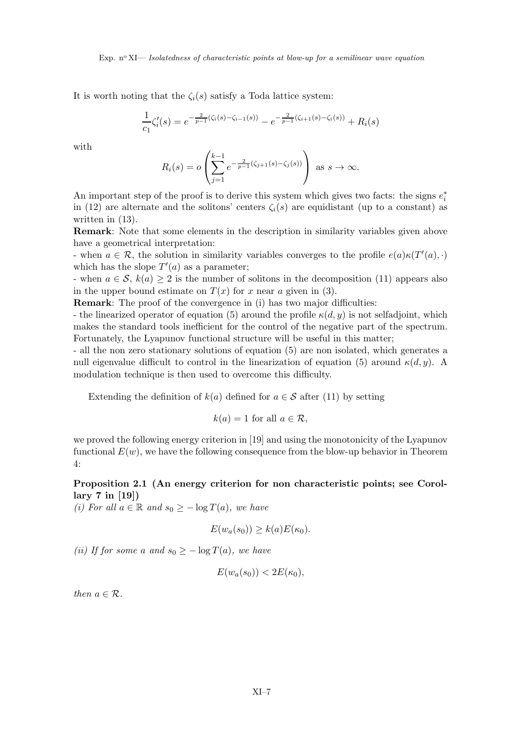Exp. n<sup>o</sup> XI— *Isolatedness of characteristic points at blow-up for a semilinear wave equation* 

It is worth noting that the  $\zeta_i(s)$  satisfy a Toda lattice system:

$$
\frac{1}{c_1}\zeta_i'(s) = e^{-\frac{2}{p-1}(\zeta_i(s) - \zeta_{i-1}(s))} - e^{-\frac{2}{p-1}(\zeta_{i+1}(s) - \zeta_i(s))} + R_i(s)
$$

with

$$
R_i(s) = o\left(\sum_{j=1}^{k-1} e^{-\frac{2}{p-1}(\zeta_{j+1}(s) - \zeta_j(s))}\right) \text{ as } s \to \infty.
$$

An important step of the proof is to derive this system which gives two facts: the signs  $e_i^*$ in (12) are alternate and the solitons' centers  $\zeta_i(s)$  are equidistant (up to a constant) as written in (13).

Remark: Note that some elements in the description in similarity variables given above have a geometrical interpretation:

- when  $a \in \mathcal{R}$ , the solution in similarity variables converges to the profile  $e(a)\kappa(T'(a), \cdot)$ which has the slope  $T'(a)$  as a parameter;

- when  $a \in \mathcal{S}$ ,  $k(a) \geq 2$  is the number of solitons in the decomposition (11) appears also in the upper bound estimate on  $T(x)$  for x near a given in (3).

Remark: The proof of the convergence in (i) has two major difficulties:

- the linearized operator of equation (5) around the profile  $\kappa(d, y)$  is not selfadjoint, which makes the standard tools inefficient for the control of the negative part of the spectrum. Fortunately, the Lyapunov functional structure will be useful in this matter;

- all the non zero stationary solutions of equation (5) are non isolated, which generates a null eigenvalue difficult to control in the linearization of equation (5) around  $\kappa(d, y)$ . A modulation technique is then used to overcome this difficulty.

Extending the definition of  $k(a)$  defined for  $a \in \mathcal{S}$  after (11) by setting

$$
k(a) = 1 \text{ for all } a \in \mathcal{R},
$$

we proved the following energy criterion in [19] and using the monotonicity of the Lyapunov functional  $E(w)$ , we have the following consequence from the blow-up behavior in Theorem 4:

#### Proposition 2.1 (An energy criterion for non characteristic points; see Corollary 7 in [19])

(i) For all  $a \in \mathbb{R}$  and  $s_0 \geq -\log T(a)$ , we have

$$
E(w_a(s_0)) \ge k(a)E(\kappa_0).
$$

(ii) If for some a and  $s_0 \ge -\log T(a)$ , we have

$$
E(w_a(s_0)) < 2E(\kappa_0),
$$

then  $a \in \mathcal{R}$ .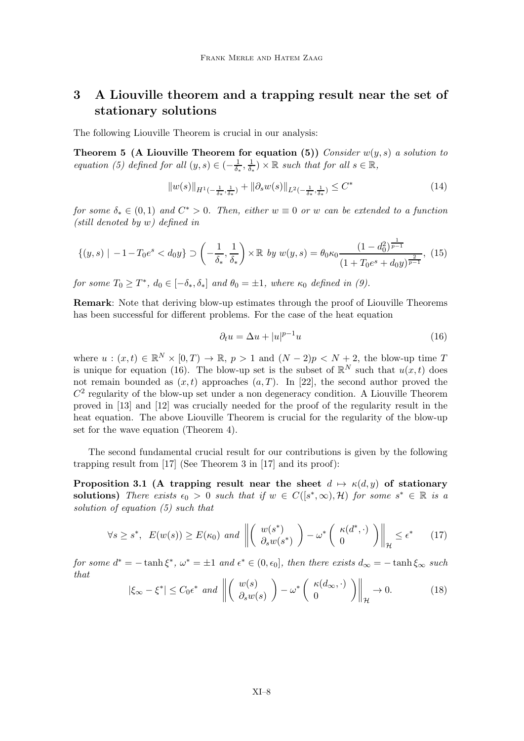## 3 A Liouville theorem and a trapping result near the set of stationary solutions

The following Liouville Theorem is crucial in our analysis:

Theorem 5 (A Liouville Theorem for equation (5)) Consider  $w(y, s)$  a solution to equation (5) defined for all  $(y, s) \in (-\frac{1}{\delta_s})$  $\frac{1}{\delta_*}, \frac{1}{\delta_*}$  $\frac{1}{\delta_*}$ ) ×  $\mathbb R$  such that for all  $s \in \mathbb R$ ,

$$
||w(s)||_{H^1(-\frac{1}{\delta_*},\frac{1}{\delta_*})} + ||\partial_s w(s)||_{L^2(-\frac{1}{\delta_*},\frac{1}{\delta_*})} \leq C^* \tag{14}
$$

for some  $\delta_* \in (0,1)$  and  $C^* > 0$ . Then, either  $w \equiv 0$  or w can be extended to a function (still denoted by w) defined in

$$
\{(y,s) \mid -1 - T_0 e^s < d_0 y\} \supset \left(-\frac{1}{\delta_*}, \frac{1}{\delta_*}\right) \times \mathbb{R} \quad \text{by} \quad w(y,s) = \theta_0 \kappa_0 \frac{(1 - d_0^2)^{\frac{1}{p-1}}}{(1 + T_0 e^s + d_0 y)^{\frac{2}{p-1}}}, \tag{15}
$$

for some  $T_0 \geq T^*$ ,  $d_0 \in [-\delta_*, \delta_*]$  and  $\theta_0 = \pm 1$ , where  $\kappa_0$  defined in (9).

Remark: Note that deriving blow-up estimates through the proof of Liouville Theorems has been successful for different problems. For the case of the heat equation

$$
\partial_t u = \Delta u + |u|^{p-1} u \tag{16}
$$

where  $u:(x,t)\in \mathbb{R}^N\times [0,T)\to \mathbb{R}, p>1$  and  $(N-2)p< N+2$ , the blow-up time T is unique for equation (16). The blow-up set is the subset of  $\mathbb{R}^N$  such that  $u(x,t)$  does not remain bounded as  $(x, t)$  approaches  $(a, T)$ . In [22], the second author proved the  $C<sup>2</sup>$  regularity of the blow-up set under a non degeneracy condition. A Liouville Theorem proved in [13] and [12] was crucially needed for the proof of the regularity result in the heat equation. The above Liouville Theorem is crucial for the regularity of the blow-up set for the wave equation (Theorem 4).

The second fundamental crucial result for our contributions is given by the following trapping result from [17] (See Theorem 3 in [17] and its proof):

Proposition 3.1 (A trapping result near the sheet  $d \mapsto \kappa(d, y)$  of stationary solutions) There exists  $\epsilon_0 > 0$  such that if  $w \in C([s^*, \infty), \mathcal{H})$  for some  $s^* \in \mathbb{R}$  is a solution of equation (5) such that

$$
\forall s \ge s^*, \ E(w(s)) \ge E(\kappa_0) \ and \ \left\| \left( \begin{array}{c} w(s^*) \\ \partial_s w(s^*) \end{array} \right) - \omega^* \left( \begin{array}{c} \kappa(d^*, \cdot) \\ 0 \end{array} \right) \right\|_{\mathcal{H}} \le \epsilon^* \qquad (17)
$$

for some  $d^* = -\tanh \xi^*$ ,  $\omega^* = \pm 1$  and  $\epsilon^* \in (0, \epsilon_0]$ , then there exists  $d_{\infty} = -\tanh \xi_{\infty}$  such that  $\mathcal{L} = \mathcal{L}$ 

$$
|\xi_{\infty} - \xi^*| \le C_0 \epsilon^* \text{ and } \left\| \left( \begin{array}{c} w(s) \\ \partial_s w(s) \end{array} \right) - \omega^* \left( \begin{array}{c} \kappa(d_{\infty}, \cdot) \\ 0 \end{array} \right) \right\|_{\mathcal{H}} \to 0. \tag{18}
$$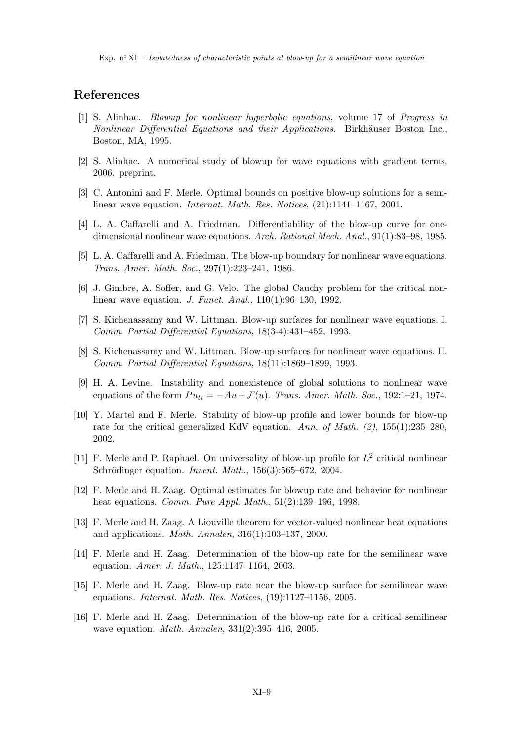Exp. n<sup>o</sup> XI— *Isolatedness of characteristic points at blow-up for a semilinear wave equation* 

### References

- [1] S. Alinhac. Blowup for nonlinear hyperbolic equations, volume 17 of Progress in Nonlinear Differential Equations and their Applications. Birkhäuser Boston Inc., Boston, MA, 1995.
- [2] S. Alinhac. A numerical study of blowup for wave equations with gradient terms. 2006. preprint.
- [3] C. Antonini and F. Merle. Optimal bounds on positive blow-up solutions for a semilinear wave equation. Internat. Math. Res. Notices, (21):1141–1167, 2001.
- [4] L. A. Caffarelli and A. Friedman. Differentiability of the blow-up curve for onedimensional nonlinear wave equations. Arch. Rational Mech. Anal., 91(1):83–98, 1985.
- [5] L. A. Caffarelli and A. Friedman. The blow-up boundary for nonlinear wave equations. Trans. Amer. Math. Soc., 297(1):223–241, 1986.
- [6] J. Ginibre, A. Soffer, and G. Velo. The global Cauchy problem for the critical nonlinear wave equation. J. Funct. Anal., 110(1):96–130, 1992.
- [7] S. Kichenassamy and W. Littman. Blow-up surfaces for nonlinear wave equations. I. Comm. Partial Differential Equations, 18(3-4):431–452, 1993.
- [8] S. Kichenassamy and W. Littman. Blow-up surfaces for nonlinear wave equations. II. Comm. Partial Differential Equations, 18(11):1869–1899, 1993.
- [9] H. A. Levine. Instability and nonexistence of global solutions to nonlinear wave equations of the form  $Pu_{tt} = -Au + \mathcal{F}(u)$ . Trans. Amer. Math. Soc., 192:1–21, 1974.
- [10] Y. Martel and F. Merle. Stability of blow-up profile and lower bounds for blow-up rate for the critical generalized KdV equation. Ann. of Math.  $(2)$ , 155(1):235–280, 2002.
- [11] F. Merle and P. Raphael. On universality of blow-up profile for  $L^2$  critical nonlinear Schrödinger equation. Invent. Math.,  $156(3):565-672$ , 2004.
- [12] F. Merle and H. Zaag. Optimal estimates for blowup rate and behavior for nonlinear heat equations. *Comm. Pure Appl. Math.*, 51(2):139–196, 1998.
- [13] F. Merle and H. Zaag. A Liouville theorem for vector-valued nonlinear heat equations and applications. Math. Annalen, 316(1):103–137, 2000.
- [14] F. Merle and H. Zaag. Determination of the blow-up rate for the semilinear wave equation. Amer. J. Math., 125:1147–1164, 2003.
- [15] F. Merle and H. Zaag. Blow-up rate near the blow-up surface for semilinear wave equations. Internat. Math. Res. Notices, (19):1127–1156, 2005.
- [16] F. Merle and H. Zaag. Determination of the blow-up rate for a critical semilinear wave equation. Math. Annalen, 331(2):395–416, 2005.